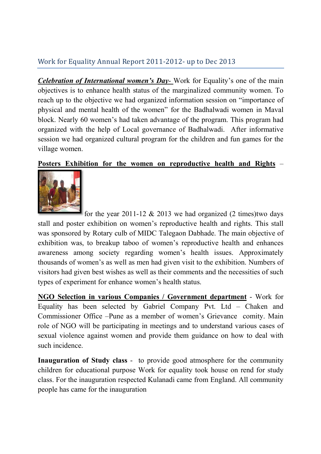## Work for Equality Annual Report 2011-2012- up to Dec 2013

Celebration of International women's Day-Work for Equality's one of the main objectives is to enhance health status of the marginalized community women. To reach up to the objective we had organized information session on "importance of physical and mental health of the women" for the Badhalwadi women in Maval block. Nearly 60 women's had taken advantage of the program. This program had organized with the help of Local governance of Badhalwadi. After informative session we had organized cultural program for the children and fun games for the village women.

## Posters Exhibition for the women on reproductive health and Rights –



for the year 2011-12  $& 2013$  we had organized (2 times)two days stall and poster exhibition on women's reproductive health and rights. This stall was sponsored by Rotary culb of MIDC Talegaon Dabhade. The main objective of exhibition was, to breakup taboo of women's reproductive health and enhances awareness among society regarding women's health issues. Approximately thousands of women's as well as men had given visit to the exhibition. Numbers of visitors had given best wishes as well as their comments and the necessities of such types of experiment for enhance women's health status.

NGO Selection in various Companies / Government department - Work for Equality has been selected by Gabriel Company Pvt. Ltd – Chaken and Commissioner Office –Pune as a member of women's Grievance comity. Main role of NGO will be participating in meetings and to understand various cases of sexual violence against women and provide them guidance on how to deal with such incidence.

Inauguration of Study class - to provide good atmosphere for the community children for educational purpose Work for equality took house on rend for study class. For the inauguration respected Kulanadi came from England. All community people has came for the inauguration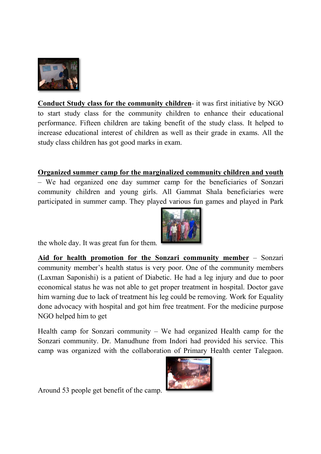

Conduct Study class for the community children- it was first initiative by NGO to start study class for the community children to enhance their educational performance. Fifteen children are taking benefit of the study class. It helped to increase educational interest of children as well as their grade in exams. All the study class children has got good marks in exam.

## Organized summer camp for the marginalized community children and youth

– We had organized one day summer camp for the beneficiaries of Sonzari community children and young girls. All Gammat Shala beneficiaries were participated in summer camp. They played various fun games and played in Park



the whole day. It was great fun for them.

Aid for health promotion for the Sonzari community member – Sonzari community member's health status is very poor. One of the community members (Laxman Saponishi) is a patient of Diabetic. He had a leg injury and due to poor economical status he was not able to get proper treatment in hospital. Doctor gave him warning due to lack of treatment his leg could be removing. Work for Equality done advocacy with hospital and got him free treatment. For the medicine purpose NGO helped him to get

Health camp for Sonzari community – We had organized Health camp for the Sonzari community. Dr. Manudhune from Indori had provided his service. This camp was organized with the collaboration of Primary Health center Talegaon.



Around 53 people get benefit of the camp.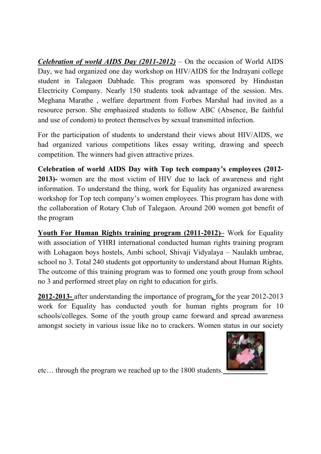*Celebration of world AIDS Day (2011-2012)* – On the occasion of World AIDS Day, we had organized one day workshop on HIV/AIDS for the Indrayani college student in Talegaon Dabhade. This program was sponsored by Hindustan Electricity Company. Nearly 150 students took advantage of the session. Mrs. Meghana Marathe , welfare department from Forbes Marshal had invited as a resource person. She emphasized students to follow ABC (Absence, Be faithful and use of condom) to protect themselves by sexual transmitted infection.

For the participation of students to understand their views about HIV/AIDS, we had organized various competitions likes essay writing, drawing and speech competition. The winners had given attractive prizes.

Celebration of world AIDS Day with Top tech company's employees (2012- 2013)- women are the most victim of HIV due to lack of awareness and right information. To understand the thing, work for Equality has organized awareness workshop for Top tech company's women employees. This program has done with the collaboration of Rotary Club of Talegaon. Around 200 women got benefit of

the program<br> **Youth For Human Rights training program (2011-2012)**– Work for Equality with association of YHRI international conducted human rights training program with Lohagaon boys hostels, Ambi school, Shivaji Vidyalaya – Naulakh umbrae, school no 3. Total 240 students got opportunity to understand about Human Rights. The outcome of this training program was to formed one youth group from school no 3 and performed street play on right to education for girls. 2012-2013- after understanding the importance of program, for the year 2012-2013

work for Equality has conducted youth for human rights program for 10 schools/colleges. Some of the youth group came forward and spread awareness amongst society in various issue like no to crackers. Women status in our society



etc… through the program we reached up to the 1800 students.